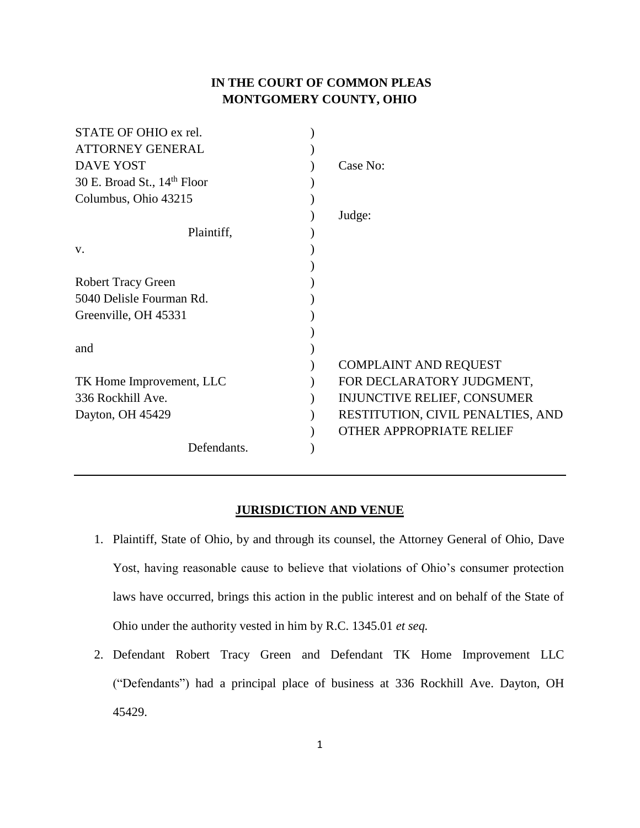# **IN THE COURT OF COMMON PLEAS MONTGOMERY COUNTY, OHIO**

| STATE OF OHIO ex rel.         |                                    |
|-------------------------------|------------------------------------|
| <b>ATTORNEY GENERAL</b>       |                                    |
| <b>DAVE YOST</b>              | Case No:                           |
| 30 E. Broad St., $14th$ Floor |                                    |
| Columbus, Ohio 43215          |                                    |
|                               | Judge:                             |
| Plaintiff,                    |                                    |
| V.                            |                                    |
|                               |                                    |
| <b>Robert Tracy Green</b>     |                                    |
| 5040 Delisle Fourman Rd.      |                                    |
| Greenville, OH 45331          |                                    |
|                               |                                    |
| and                           |                                    |
|                               | <b>COMPLAINT AND REQUEST</b>       |
| TK Home Improvement, LLC      | FOR DECLARATORY JUDGMENT,          |
| 336 Rockhill Ave.             | <b>INJUNCTIVE RELIEF, CONSUMER</b> |
| Dayton, OH 45429              | RESTITUTION, CIVIL PENALTIES, AND  |
|                               | <b>OTHER APPROPRIATE RELIEF</b>    |
| Defendants.                   |                                    |
|                               |                                    |

## **JURISDICTION AND VENUE**

- 1. Plaintiff, State of Ohio, by and through its counsel, the Attorney General of Ohio, Dave Yost, having reasonable cause to believe that violations of Ohio's consumer protection laws have occurred, brings this action in the public interest and on behalf of the State of Ohio under the authority vested in him by R.C. 1345.01 *et seq.*
- 2. Defendant Robert Tracy Green and Defendant TK Home Improvement LLC ("Defendants") had a principal place of business at 336 Rockhill Ave. Dayton, OH 45429.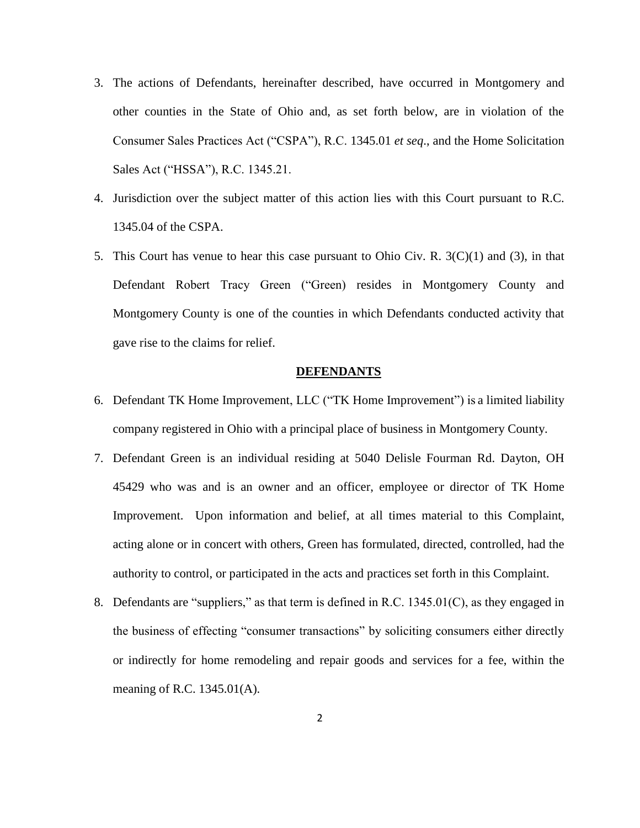- 3. The actions of Defendants, hereinafter described, have occurred in Montgomery and other counties in the State of Ohio and, as set forth below, are in violation of the Consumer Sales Practices Act ("CSPA"), R.C. 1345.01 *et seq*., and the Home Solicitation Sales Act ("HSSA"), R.C. 1345.21.
- 4. Jurisdiction over the subject matter of this action lies with this Court pursuant to R.C. 1345.04 of the CSPA.
- 5. This Court has venue to hear this case pursuant to Ohio Civ. R.  $3(C)(1)$  and (3), in that Defendant Robert Tracy Green ("Green) resides in Montgomery County and Montgomery County is one of the counties in which Defendants conducted activity that gave rise to the claims for relief.

#### **DEFENDANTS**

- 6. Defendant TK Home Improvement, LLC ("TK Home Improvement") is a limited liability company registered in Ohio with a principal place of business in Montgomery County.
- 7. Defendant Green is an individual residing at 5040 Delisle Fourman Rd. Dayton, OH 45429 who was and is an owner and an officer, employee or director of TK Home Improvement. Upon information and belief, at all times material to this Complaint, acting alone or in concert with others, Green has formulated, directed, controlled, had the authority to control, or participated in the acts and practices set forth in this Complaint.
- 8. Defendants are "suppliers," as that term is defined in R.C.  $1345.01(C)$ , as they engaged in the business of effecting "consumer transactions" by soliciting consumers either directly or indirectly for home remodeling and repair goods and services for a fee, within the meaning of R.C. 1345.01(A).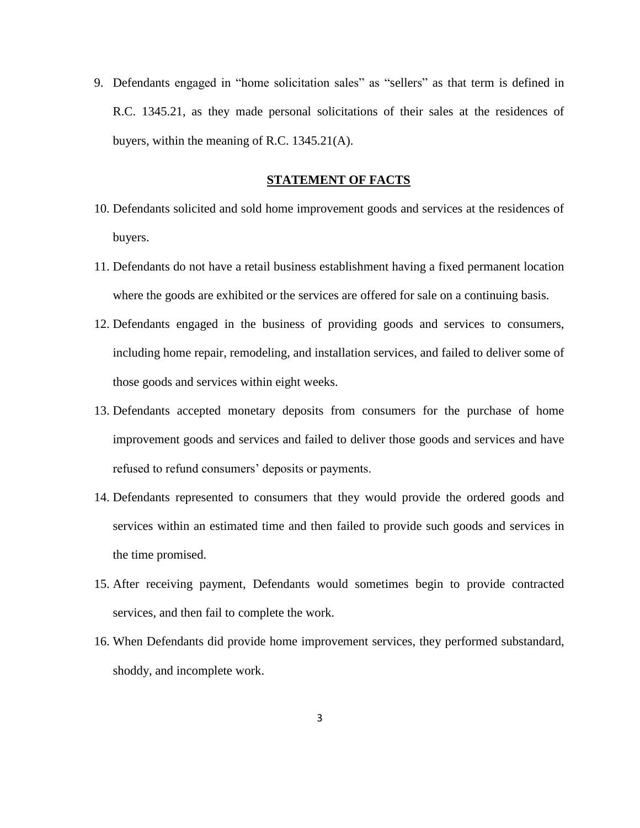9. Defendants engaged in "home solicitation sales" as "sellers" as that term is defined in R.C. 1345.21, as they made personal solicitations of their sales at the residences of buyers, within the meaning of R.C. 1345.21(A).

### **STATEMENT OF FACTS**

- 10. Defendants solicited and sold home improvement goods and services at the residences of buyers.
- 11. Defendants do not have a retail business establishment having a fixed permanent location where the goods are exhibited or the services are offered for sale on a continuing basis.
- 12. Defendants engaged in the business of providing goods and services to consumers, including home repair, remodeling, and installation services, and failed to deliver some of those goods and services within eight weeks.
- 13. Defendants accepted monetary deposits from consumers for the purchase of home improvement goods and services and failed to deliver those goods and services and have refused to refund consumers' deposits or payments.
- 14. Defendants represented to consumers that they would provide the ordered goods and services within an estimated time and then failed to provide such goods and services in the time promised.
- 15. After receiving payment, Defendants would sometimes begin to provide contracted services, and then fail to complete the work.
- 16. When Defendants did provide home improvement services, they performed substandard, shoddy, and incomplete work.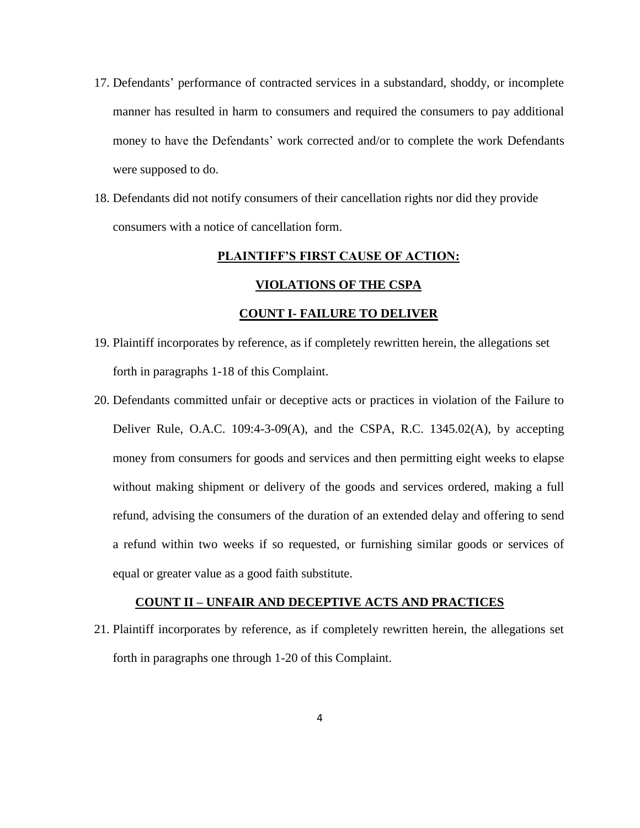- 17. Defendants' performance of contracted services in a substandard, shoddy, or incomplete manner has resulted in harm to consumers and required the consumers to pay additional money to have the Defendants' work corrected and/or to complete the work Defendants were supposed to do.
- 18. Defendants did not notify consumers of their cancellation rights nor did they provide consumers with a notice of cancellation form.

#### **PLAINTIFF'S FIRST CAUSE OF ACTION:**

### **VIOLATIONS OF THE CSPA**

#### **COUNT I- FAILURE TO DELIVER**

- 19. Plaintiff incorporates by reference, as if completely rewritten herein, the allegations set forth in paragraphs 1-18 of this Complaint.
- 20. Defendants committed unfair or deceptive acts or practices in violation of the Failure to Deliver Rule, O.A.C. 109:4-3-09(A), and the CSPA, R.C. 1345.02(A), by accepting money from consumers for goods and services and then permitting eight weeks to elapse without making shipment or delivery of the goods and services ordered, making a full refund, advising the consumers of the duration of an extended delay and offering to send a refund within two weeks if so requested, or furnishing similar goods or services of equal or greater value as a good faith substitute.

### **COUNT II – UNFAIR AND DECEPTIVE ACTS AND PRACTICES**

21. Plaintiff incorporates by reference, as if completely rewritten herein, the allegations set forth in paragraphs one through 1-20 of this Complaint.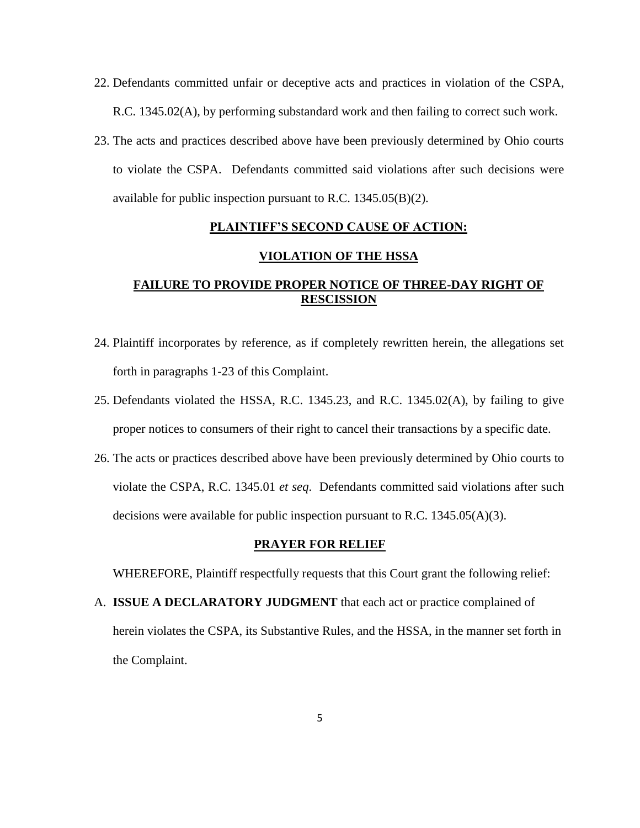- 22. Defendants committed unfair or deceptive acts and practices in violation of the CSPA, R.C. 1345.02(A), by performing substandard work and then failing to correct such work.
- 23. The acts and practices described above have been previously determined by Ohio courts to violate the CSPA. Defendants committed said violations after such decisions were available for public inspection pursuant to R.C. 1345.05(B)(2).

# **PLAINTIFF'S SECOND CAUSE OF ACTION:**

## **VIOLATION OF THE HSSA**

# **FAILURE TO PROVIDE PROPER NOTICE OF THREE-DAY RIGHT OF RESCISSION**

- 24. Plaintiff incorporates by reference, as if completely rewritten herein, the allegations set forth in paragraphs 1-23 of this Complaint.
- 25. Defendants violated the HSSA, R.C. 1345.23, and R.C. 1345.02(A), by failing to give proper notices to consumers of their right to cancel their transactions by a specific date.
- 26. The acts or practices described above have been previously determined by Ohio courts to violate the CSPA, R.C. 1345.01 *et seq*. Defendants committed said violations after such decisions were available for public inspection pursuant to R.C.  $1345.05(A)(3)$ .

#### **PRAYER FOR RELIEF**

WHEREFORE, Plaintiff respectfully requests that this Court grant the following relief:

A. **ISSUE A DECLARATORY JUDGMENT** that each act or practice complained of herein violates the CSPA, its Substantive Rules, and the HSSA, in the manner set forth in the Complaint.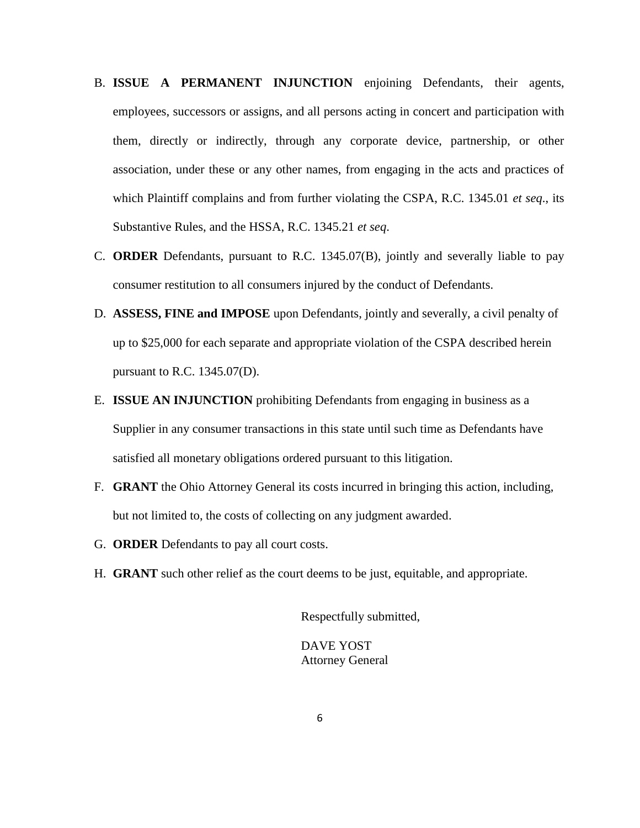- B. **ISSUE A PERMANENT INJUNCTION** enjoining Defendants, their agents, employees, successors or assigns, and all persons acting in concert and participation with them, directly or indirectly, through any corporate device, partnership, or other association, under these or any other names, from engaging in the acts and practices of which Plaintiff complains and from further violating the CSPA, R.C. 1345.01 *et seq*., its Substantive Rules, and the HSSA, R.C. 1345.21 *et seq*.
- C. **ORDER** Defendants, pursuant to R.C. 1345.07(B), jointly and severally liable to pay consumer restitution to all consumers injured by the conduct of Defendants.
- D. **ASSESS, FINE and IMPOSE** upon Defendants, jointly and severally, a civil penalty of up to \$25,000 for each separate and appropriate violation of the CSPA described herein pursuant to R.C. 1345.07(D).
- E. **ISSUE AN INJUNCTION** prohibiting Defendants from engaging in business as a Supplier in any consumer transactions in this state until such time as Defendants have satisfied all monetary obligations ordered pursuant to this litigation.
- F. **GRANT** the Ohio Attorney General its costs incurred in bringing this action, including, but not limited to, the costs of collecting on any judgment awarded.
- G. **ORDER** Defendants to pay all court costs.
- H. **GRANT** such other relief as the court deems to be just, equitable, and appropriate.

Respectfully submitted,

DAVE YOST Attorney General